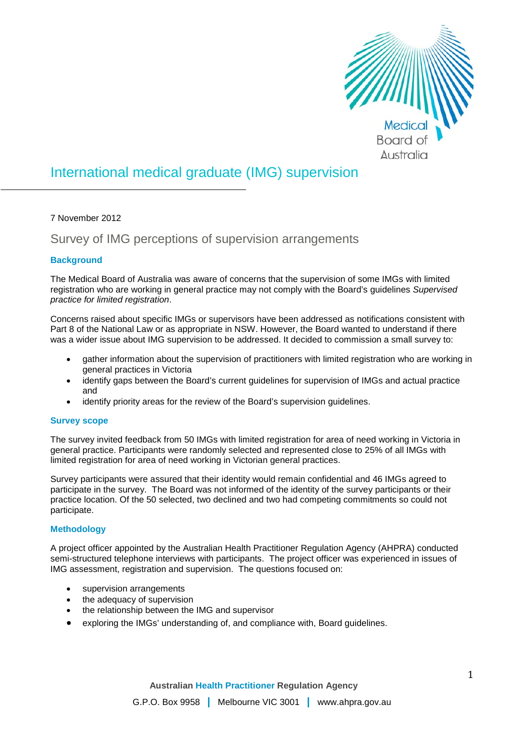

# International medical graduate (IMG) supervision

7 November 2012

Survey of IMG perceptions of supervision arrangements

## **Background**

The Medical Board of Australia was aware of concerns that the supervision of some IMGs with limited registration who are working in general practice may not comply with the Board's guidelines *Supervised practice for limited registration*.

Concerns raised about specific IMGs or supervisors have been addressed as notifications consistent with Part 8 of the National Law or as appropriate in NSW. However, the Board wanted to understand if there was a wider issue about IMG supervision to be addressed. It decided to commission a small survey to:

- gather information about the supervision of practitioners with limited registration who are working in general practices in Victoria
- identify gaps between the Board's current guidelines for supervision of IMGs and actual practice and
- identify priority areas for the review of the Board's supervision guidelines.

### **Survey scope**

The survey invited feedback from 50 IMGs with limited registration for area of need working in Victoria in general practice. Participants were randomly selected and represented close to 25% of all IMGs with limited registration for area of need working in Victorian general practices.

Survey participants were assured that their identity would remain confidential and 46 IMGs agreed to participate in the survey. The Board was not informed of the identity of the survey participants or their practice location. Of the 50 selected, two declined and two had competing commitments so could not participate.

## **Methodology**

A project officer appointed by the Australian Health Practitioner Regulation Agency (AHPRA) conducted semi-structured telephone interviews with participants. The project officer was experienced in issues of IMG assessment, registration and supervision. The questions focused on:

- supervision arrangements
- the adequacy of supervision
- the relationship between the IMG and supervisor
- exploring the IMGs' understanding of, and compliance with, Board guidelines.